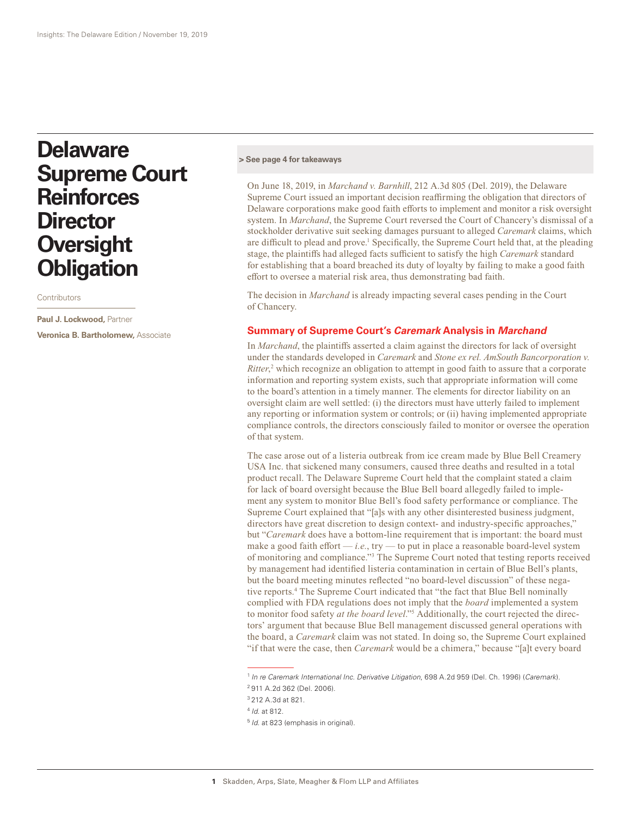# **Delaware Supreme Court Reinforces Director Oversight Obligation**

**Contributors** 

**Paul J. Lockwood,** Partner **Veronica B. Bartholomew,** Associate

#### **[> See page 4 for takeaways](#page-3-0)**

On June 18, 2019, in *Marchand v. Barnhill*, 212 A.3d 805 (Del. 2019), the Delaware Supreme Court issued an important decision reaffirming the obligation that directors of Delaware corporations make good faith efforts to implement and monitor a risk oversight system. In *Marchand*, the Supreme Court reversed the Court of Chancery's dismissal of a stockholder derivative suit seeking damages pursuant to alleged *Caremark* claims, which are difficult to plead and prove.<sup>1</sup> Specifically, the Supreme Court held that, at the pleading stage, the plaintiffs had alleged facts sufficient to satisfy the high *Caremark* standard for establishing that a board breached its duty of loyalty by failing to make a good faith effort to oversee a material risk area, thus demonstrating bad faith.

The decision in *Marchand* is already impacting several cases pending in the Court of Chancery.

#### **Summary of Supreme Court's** *Caremark* **Analysis in** *Marchand*

In *Marchand*, the plaintiffs asserted a claim against the directors for lack of oversight under the standards developed in *Caremark* and *Stone ex rel. AmSouth Bancorporation v.*  Ritter,<sup>2</sup> which recognize an obligation to attempt in good faith to assure that a corporate information and reporting system exists, such that appropriate information will come to the board's attention in a timely manner. The elements for director liability on an oversight claim are well settled: (i) the directors must have utterly failed to implement any reporting or information system or controls; or (ii) having implemented appropriate compliance controls, the directors consciously failed to monitor or oversee the operation of that system.

The case arose out of a listeria outbreak from ice cream made by Blue Bell Creamery USA Inc. that sickened many consumers, caused three deaths and resulted in a total product recall. The Delaware Supreme Court held that the complaint stated a claim for lack of board oversight because the Blue Bell board allegedly failed to implement any system to monitor Blue Bell's food safety performance or compliance. The Supreme Court explained that "[a]s with any other disinterested business judgment, directors have great discretion to design context- and industry-specific approaches," but "*Caremark* does have a bottom-line requirement that is important: the board must make a good faith effort — *i.e.*, try — to put in place a reasonable board-level system of monitoring and compliance."3 The Supreme Court noted that testing reports received by management had identified listeria contamination in certain of Blue Bell's plants, but the board meeting minutes reflected "no board-level discussion" of these negative reports.4 The Supreme Court indicated that "the fact that Blue Bell nominally complied with FDA regulations does not imply that the *board* implemented a system to monitor food safety *at the board level*."5 Additionally, the court rejected the directors' argument that because Blue Bell management discussed general operations with the board, a *Caremark* claim was not stated. In doing so, the Supreme Court explained "if that were the case, then *Caremark* would be a chimera," because "[a]t every board

<sup>1</sup> *In re Caremark International Inc. Derivative Litigation*, 698 A.2d 959 (Del. Ch. 1996) (*Caremark*).

<sup>2</sup> 911 A.2d 362 (Del. 2006). <sup>3</sup> 212 A.3d at 821.

<sup>4</sup> *Id*. at 812.

<sup>5</sup> *Id*. at 823 (emphasis in original).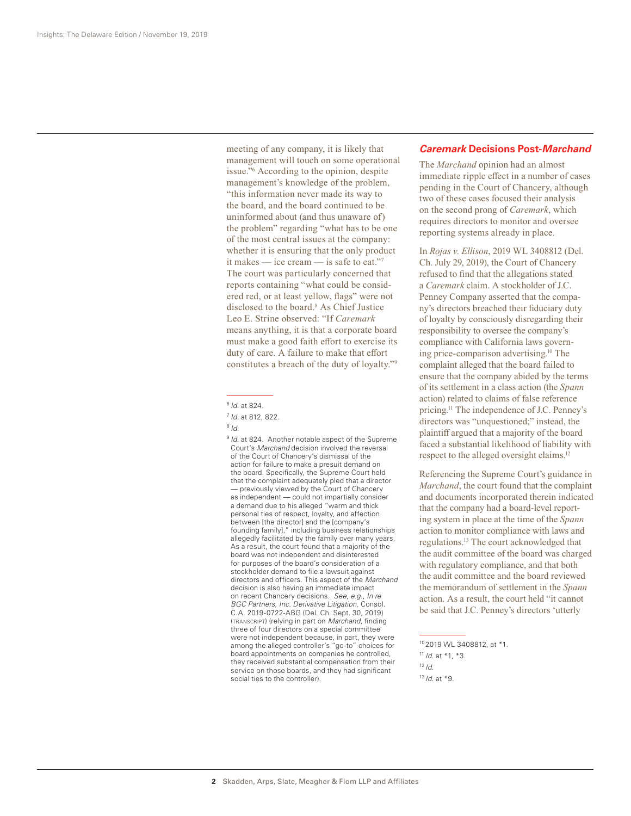meeting of any company, it is likely that management will touch on some operational issue."6 According to the opinion, despite management's knowledge of the problem, "this information never made its way to the board, and the board continued to be uninformed about (and thus unaware of) the problem" regarding "what has to be one of the most central issues at the company: whether it is ensuring that the only product it makes — ice cream — is safe to eat."<sup>7</sup> The court was particularly concerned that reports containing "what could be considered red, or at least yellow, flags" were not disclosed to the board.<sup>8</sup> As Chief Justice Leo E. Strine observed: "If *Caremark* means anything, it is that a corporate board must make a good faith effort to exercise its duty of care. A failure to make that effort constitutes a breach of the duty of loyalty."9

- <sup>8</sup> *Id*.
- <sup>9</sup> *Id.* at 824. Another notable aspect of the Supreme Court's *Marchand* decision involved the reversal of the Court of Chancery's dismissal of the action for failure to make a presuit demand on the board. Specifically, the Supreme Court held that the complaint adequately pled that a director — previously viewed by the Court of Chancery as independent — could not impartially consider a demand due to his alleged "warm and thick personal ties of respect, loyalty, and affection between [the director] and the [company's founding family]," including business relationships allegedly facilitated by the family over many years. As a result, the court found that a majority of the board was not independent and disinterested for purposes of the board's consideration of a stockholder demand to file a lawsuit against directors and officers. This aspect of the *Marchand* decision is also having an immediate impact on recent Chancery decisions. *See*, *e.g*., *In re BGC Partners, Inc. Derivative Litigation*, Consol. C.A. 2019-0722-ABG (Del. Ch. Sept. 30, 2019) (transcript) (relying in part on *Marchand*, finding three of four directors on a special committee were not independent because, in part, they were among the alleged controller's "go-to" choices for board appointments on companies he controlled, they received substantial compensation from their service on those boards, and they had significant social ties to the controller).

### *Caremark* **Decisions Post-***Marchand*

The *Marchand* opinion had an almost immediate ripple effect in a number of cases pending in the Court of Chancery, although two of these cases focused their analysis on the second prong of *Caremark*, which requires directors to monitor and oversee reporting systems already in place.

In *Rojas v. Ellison*, 2019 WL 3408812 (Del. Ch. July 29, 2019), the Court of Chancery refused to find that the allegations stated a *Caremark* claim. A stockholder of J.C. Penney Company asserted that the company's directors breached their fiduciary duty of loyalty by consciously disregarding their responsibility to oversee the company's compliance with California laws governing price-comparison advertising.10 The complaint alleged that the board failed to ensure that the company abided by the terms of its settlement in a class action (the *Spann* action) related to claims of false reference pricing.11 The independence of J.C. Penney's directors was "unquestioned;" instead, the plaintiff argued that a majority of the board faced a substantial likelihood of liability with respect to the alleged oversight claims.12

Referencing the Supreme Court's guidance in *Marchand*, the court found that the complaint and documents incorporated therein indicated that the company had a board-level reporting system in place at the time of the *Spann* action to monitor compliance with laws and regulations.13 The court acknowledged that the audit committee of the board was charged with regulatory compliance, and that both the audit committee and the board reviewed the memorandum of settlement in the *Spann* action. As a result, the court held "it cannot be said that J.C. Penney's directors 'utterly

<sup>6</sup> *Id*. at 824.

<sup>7</sup> *Id*. at 812, 822.

<sup>10</sup> 2019 WL 3408812, at \*1. <sup>11</sup> *Id*. at \*1, \*3.  $12$  *Id.* <sup>13</sup> *Id*. at \*9.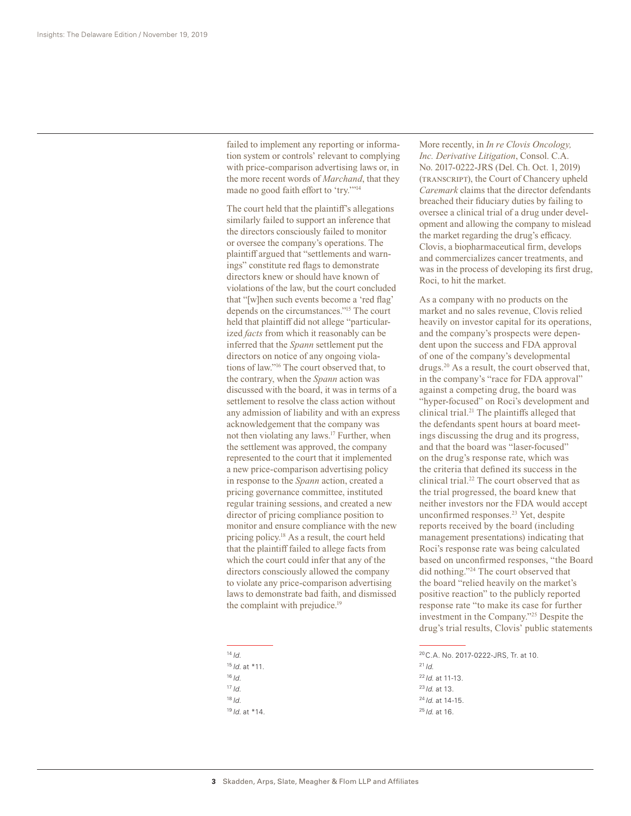failed to implement any reporting or information system or controls' relevant to complying with price-comparison advertising laws or, in the more recent words of *Marchand*, that they made no good faith effort to 'try.'"14

The court held that the plaintiff's allegations similarly failed to support an inference that the directors consciously failed to monitor or oversee the company's operations. The plaintiff argued that "settlements and warnings" constitute red flags to demonstrate directors knew or should have known of violations of the law, but the court concluded that "[w]hen such events become a 'red flag' depends on the circumstances."15 The court held that plaintiff did not allege "particularized *facts* from which it reasonably can be inferred that the *Spann* settlement put the directors on notice of any ongoing violations of law."16 The court observed that, to the contrary, when the *Spann* action was discussed with the board, it was in terms of a settlement to resolve the class action without any admission of liability and with an express acknowledgement that the company was not then violating any laws.17 Further, when the settlement was approved, the company represented to the court that it implemented a new price-comparison advertising policy in response to the *Spann* action, created a pricing governance committee, instituted regular training sessions, and created a new director of pricing compliance position to monitor and ensure compliance with the new pricing policy.18 As a result, the court held that the plaintiff failed to allege facts from which the court could infer that any of the directors consciously allowed the company to violate any price-comparison advertising laws to demonstrate bad faith, and dismissed the complaint with prejudice.<sup>19</sup>

 $14$  *Id.* <sup>15</sup> *Id*. at \*11.  $16$  *Id.* <sup>17</sup> *Id*. <sup>18</sup> *Id*. <sup>19</sup> *Id*. at \*14. More recently, in *In re Clovis Oncology, Inc. Derivative Litigation*, Consol. C.A. No. 2017-0222-JRS (Del. Ch. Oct. 1, 2019) (TRANSCRIPT), the Court of Chancery upheld *Caremark* claims that the director defendants breached their fiduciary duties by failing to oversee a clinical trial of a drug under development and allowing the company to mislead the market regarding the drug's efficacy. Clovis, a biopharmaceutical firm, develops and commercializes cancer treatments, and was in the process of developing its first drug, Roci, to hit the market.

As a company with no products on the market and no sales revenue, Clovis relied heavily on investor capital for its operations, and the company's prospects were dependent upon the success and FDA approval of one of the company's developmental drugs.20 As a result, the court observed that, in the company's "race for FDA approval" against a competing drug, the board was "hyper-focused" on Roci's development and clinical trial.21 The plaintiffs alleged that the defendants spent hours at board meetings discussing the drug and its progress, and that the board was "laser-focused" on the drug's response rate, which was the criteria that defined its success in the clinical trial.<sup>22</sup> The court observed that as the trial progressed, the board knew that neither investors nor the FDA would accept unconfirmed responses.23 Yet, despite reports received by the board (including management presentations) indicating that Roci's response rate was being calculated based on unconfirmed responses, "the Board did nothing."24 The court observed that the board "relied heavily on the market's positive reaction" to the publicly reported response rate "to make its case for further investment in the Company."25 Despite the drug's trial results, Clovis' public statements

20C.A. No. 2017-0222-JRS, Tr. at 10.

 $^{21}$  *Id.* <sup>22</sup>*Id*. at 11-13.

<sup>23</sup>*Id*. at 13. <sup>24</sup> *Id*. at 14-15.

<sup>25</sup> *Id*. at 16.